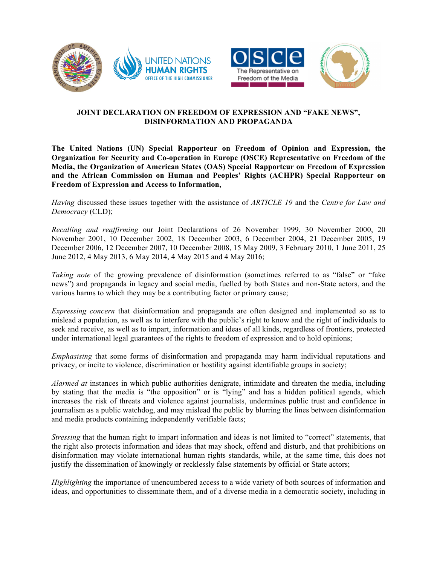





## **JOINT DECLARATION ON FREEDOM OF EXPRESSION AND "FAKE NEWS", DISINFORMATION AND PROPAGANDA**

**The United Nations (UN) Special Rapporteur on Freedom of Opinion and Expression, the Organization for Security and Co-operation in Europe (OSCE) Representative on Freedom of the Media, the Organization of American States (OAS) Special Rapporteur on Freedom of Expression and the African Commission on Human and Peoples' Rights (ACHPR) Special Rapporteur on Freedom of Expression and Access to Information,**

*Having* discussed these issues together with the assistance of *ARTICLE 19* and the *Centre for Law and Democracy* (CLD);

*Recalling and reaffirming* our Joint Declarations of 26 November 1999, 30 November 2000, 20 November 2001, 10 December 2002, 18 December 2003, 6 December 2004, 21 December 2005, 19 December 2006, 12 December 2007, 10 December 2008, 15 May 2009, 3 February 2010, 1 June 2011, 25 June 2012, 4 May 2013, 6 May 2014, 4 May 2015 and 4 May 2016;

*Taking note* of the growing prevalence of disinformation (sometimes referred to as "false" or "fake news") and propaganda in legacy and social media, fuelled by both States and non-State actors, and the various harms to which they may be a contributing factor or primary cause;

*Expressing concern* that disinformation and propaganda are often designed and implemented so as to mislead a population, as well as to interfere with the public's right to know and the right of individuals to seek and receive, as well as to impart, information and ideas of all kinds, regardless of frontiers, protected under international legal guarantees of the rights to freedom of expression and to hold opinions;

*Emphasising* that some forms of disinformation and propaganda may harm individual reputations and privacy, or incite to violence, discrimination or hostility against identifiable groups in society;

*Alarmed at* instances in which public authorities denigrate, intimidate and threaten the media, including by stating that the media is "the opposition" or is "lying" and has a hidden political agenda, which increases the risk of threats and violence against journalists, undermines public trust and confidence in journalism as a public watchdog, and may mislead the public by blurring the lines between disinformation and media products containing independently verifiable facts;

*Stressing* that the human right to impart information and ideas is not limited to "correct" statements, that the right also protects information and ideas that may shock, offend and disturb, and that prohibitions on disinformation may violate international human rights standards, while, at the same time, this does not justify the dissemination of knowingly or recklessly false statements by official or State actors;

*Highlighting* the importance of unencumbered access to a wide variety of both sources of information and ideas, and opportunities to disseminate them, and of a diverse media in a democratic society, including in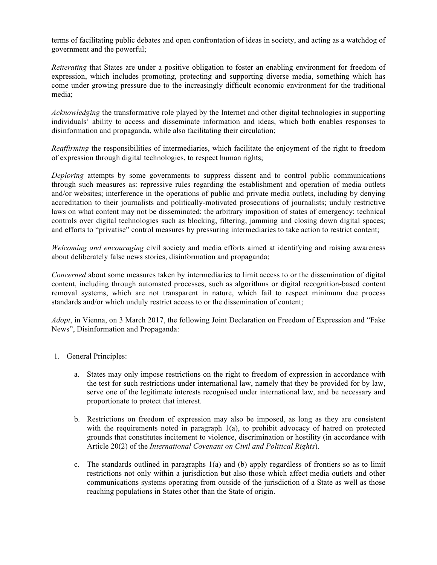terms of facilitating public debates and open confrontation of ideas in society, and acting as a watchdog of government and the powerful;

*Reiterating* that States are under a positive obligation to foster an enabling environment for freedom of expression, which includes promoting, protecting and supporting diverse media, something which has come under growing pressure due to the increasingly difficult economic environment for the traditional media;

*Acknowledging* the transformative role played by the Internet and other digital technologies in supporting individuals' ability to access and disseminate information and ideas, which both enables responses to disinformation and propaganda, while also facilitating their circulation;

*Reaffirming* the responsibilities of intermediaries, which facilitate the enjoyment of the right to freedom of expression through digital technologies, to respect human rights;

*Deploring* attempts by some governments to suppress dissent and to control public communications through such measures as: repressive rules regarding the establishment and operation of media outlets and/or websites; interference in the operations of public and private media outlets, including by denying accreditation to their journalists and politically-motivated prosecutions of journalists; unduly restrictive laws on what content may not be disseminated; the arbitrary imposition of states of emergency; technical controls over digital technologies such as blocking, filtering, jamming and closing down digital spaces; and efforts to "privatise" control measures by pressuring intermediaries to take action to restrict content;

*Welcoming and encouraging* civil society and media efforts aimed at identifying and raising awareness about deliberately false news stories, disinformation and propaganda;

*Concerned* about some measures taken by intermediaries to limit access to or the dissemination of digital content, including through automated processes, such as algorithms or digital recognition-based content removal systems, which are not transparent in nature, which fail to respect minimum due process standards and/or which unduly restrict access to or the dissemination of content;

*Adopt*, in Vienna, on 3 March 2017, the following Joint Declaration on Freedom of Expression and "Fake News", Disinformation and Propaganda:

- 1. General Principles:
	- a. States may only impose restrictions on the right to freedom of expression in accordance with the test for such restrictions under international law, namely that they be provided for by law, serve one of the legitimate interests recognised under international law, and be necessary and proportionate to protect that interest.
	- b. Restrictions on freedom of expression may also be imposed, as long as they are consistent with the requirements noted in paragraph 1(a), to prohibit advocacy of hatred on protected grounds that constitutes incitement to violence, discrimination or hostility (in accordance with Article 20(2) of the *International Covenant on Civil and Political Rights*).
	- c. The standards outlined in paragraphs 1(a) and (b) apply regardless of frontiers so as to limit restrictions not only within a jurisdiction but also those which affect media outlets and other communications systems operating from outside of the jurisdiction of a State as well as those reaching populations in States other than the State of origin.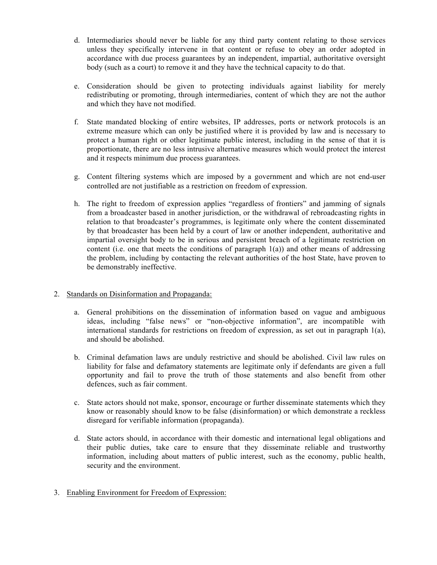- d. Intermediaries should never be liable for any third party content relating to those services unless they specifically intervene in that content or refuse to obey an order adopted in accordance with due process guarantees by an independent, impartial, authoritative oversight body (such as a court) to remove it and they have the technical capacity to do that.
- e. Consideration should be given to protecting individuals against liability for merely redistributing or promoting, through intermediaries, content of which they are not the author and which they have not modified.
- f. State mandated blocking of entire websites, IP addresses, ports or network protocols is an extreme measure which can only be justified where it is provided by law and is necessary to protect a human right or other legitimate public interest, including in the sense of that it is proportionate, there are no less intrusive alternative measures which would protect the interest and it respects minimum due process guarantees.
- g. Content filtering systems which are imposed by a government and which are not end-user controlled are not justifiable as a restriction on freedom of expression.
- h. The right to freedom of expression applies "regardless of frontiers" and jamming of signals from a broadcaster based in another jurisdiction, or the withdrawal of rebroadcasting rights in relation to that broadcaster's programmes, is legitimate only where the content disseminated by that broadcaster has been held by a court of law or another independent, authoritative and impartial oversight body to be in serious and persistent breach of a legitimate restriction on content (i.e. one that meets the conditions of paragraph  $1(a)$ ) and other means of addressing the problem, including by contacting the relevant authorities of the host State, have proven to be demonstrably ineffective.

## 2. Standards on Disinformation and Propaganda:

- a. General prohibitions on the dissemination of information based on vague and ambiguous ideas, including "false news" or "non-objective information", are incompatible with international standards for restrictions on freedom of expression, as set out in paragraph  $1(a)$ , and should be abolished.
- b. Criminal defamation laws are unduly restrictive and should be abolished. Civil law rules on liability for false and defamatory statements are legitimate only if defendants are given a full opportunity and fail to prove the truth of those statements and also benefit from other defences, such as fair comment.
- c. State actors should not make, sponsor, encourage or further disseminate statements which they know or reasonably should know to be false (disinformation) or which demonstrate a reckless disregard for verifiable information (propaganda).
- d. State actors should, in accordance with their domestic and international legal obligations and their public duties, take care to ensure that they disseminate reliable and trustworthy information, including about matters of public interest, such as the economy, public health, security and the environment.
- 3. Enabling Environment for Freedom of Expression: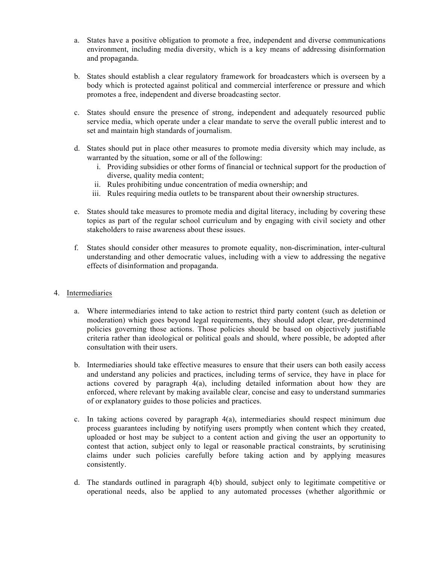- a. States have a positive obligation to promote a free, independent and diverse communications environment, including media diversity, which is a key means of addressing disinformation and propaganda.
- b. States should establish a clear regulatory framework for broadcasters which is overseen by a body which is protected against political and commercial interference or pressure and which promotes a free, independent and diverse broadcasting sector.
- c. States should ensure the presence of strong, independent and adequately resourced public service media, which operate under a clear mandate to serve the overall public interest and to set and maintain high standards of journalism.
- d. States should put in place other measures to promote media diversity which may include, as warranted by the situation, some or all of the following:
	- i. Providing subsidies or other forms of financial or technical support for the production of diverse, quality media content;
	- ii. Rules prohibiting undue concentration of media ownership; and
	- iii. Rules requiring media outlets to be transparent about their ownership structures.
- e. States should take measures to promote media and digital literacy, including by covering these topics as part of the regular school curriculum and by engaging with civil society and other stakeholders to raise awareness about these issues.
- f. States should consider other measures to promote equality, non-discrimination, inter-cultural understanding and other democratic values, including with a view to addressing the negative effects of disinformation and propaganda.
- 4. Intermediaries
	- a. Where intermediaries intend to take action to restrict third party content (such as deletion or moderation) which goes beyond legal requirements, they should adopt clear, pre-determined policies governing those actions. Those policies should be based on objectively justifiable criteria rather than ideological or political goals and should, where possible, be adopted after consultation with their users.
	- b. Intermediaries should take effective measures to ensure that their users can both easily access and understand any policies and practices, including terms of service, they have in place for actions covered by paragraph 4(a), including detailed information about how they are enforced, where relevant by making available clear, concise and easy to understand summaries of or explanatory guides to those policies and practices.
	- c. In taking actions covered by paragraph 4(a), intermediaries should respect minimum due process guarantees including by notifying users promptly when content which they created, uploaded or host may be subject to a content action and giving the user an opportunity to contest that action, subject only to legal or reasonable practical constraints, by scrutinising claims under such policies carefully before taking action and by applying measures consistently.
	- d. The standards outlined in paragraph 4(b) should, subject only to legitimate competitive or operational needs, also be applied to any automated processes (whether algorithmic or